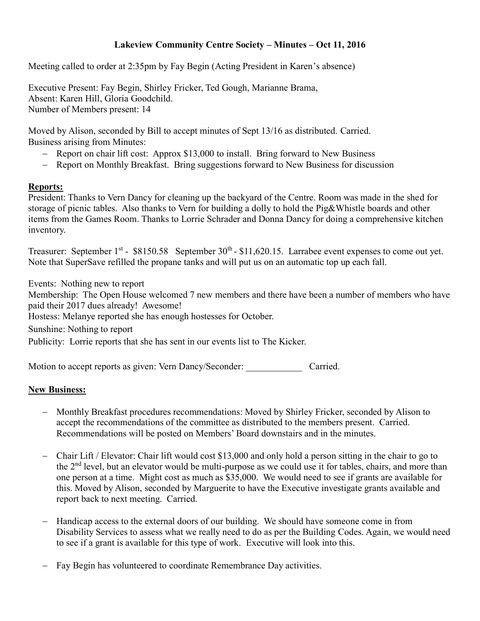## **Lakeview Community Centre Society – Minutes – Oct 11, 2016**

Meeting called to order at 2:35pm by Fay Begin (Acting President in Karen's absence)

Executive Present: Fay Begin, Shirley Fricker, Ted Gough, Marianne Brama, Absent: Karen Hill, Gloria Goodchild. Number of Members present: 14

Moved by Alison, seconded by Bill to accept minutes of Sept 13/16 as distributed. Carried. Business arising from Minutes:

- Report on chair lift cost: Approx \$13,000 to install. Bring forward to New Business
- Report on Monthly Breakfast. Bring suggestions forward to New Business for discussion

## **Reports:**

President: Thanks to Vern Dancy for cleaning up the backyard of the Centre. Room was made in the shed for storage of picnic tables. Also thanks to Vern for building a dolly to hold the Pig&Whistle boards and other items from the Games Room. Thanks to Lorrie Schrader and Donna Dancy for doing a comprehensive kitchen inventory.

Treasurer: September  $1^{st}$  - \$8150.58 September  $30^{th}$  - \$11,620.15. Larrabee event expenses to come out yet. Note that SuperSave refilled the propane tanks and will put us on an automatic top up each fall.

Events: Nothing new to report Membership: The Open House welcomed 7 new members and there have been a number of members who have paid their 2017 dues already! Awesome! Hostess: Melanye reported she has enough hostesses for October. Sunshine: Nothing to report Publicity: Lorrie reports that she has sent in our events list to The Kicker.

Motion to accept reports as given: Vern Dancy/Seconder: Carried.

## **New Business:**

- Monthly Breakfast procedures recommendations: Moved by Shirley Fricker, seconded by Alison to accept the recommendations of the committee as distributed to the members present. Carried. Recommendations will be posted on Members' Board downstairs and in the minutes.
- Chair Lift / Elevator: Chair lift would cost \$13,000 and only hold a person sitting in the chair to go to the 2<sup>nd</sup> level, but an elevator would be multi-purpose as we could use it for tables, chairs, and more than one person at a time. Might cost as much as \$35,000. We would need to see if grants are available for this. Moved by Alison, seconded by Marguerite to have the Executive investigate grants available and report back to next meeting. Carried.
- Handicap access to the external doors of our building. We should have someone come in from Disability Services to assess what we really need to do as per the Building Codes. Again, we would need to see if a grant is available for this type of work. Executive will look into this.
- Fay Begin has volunteered to coordinate Remembrance Day activities.